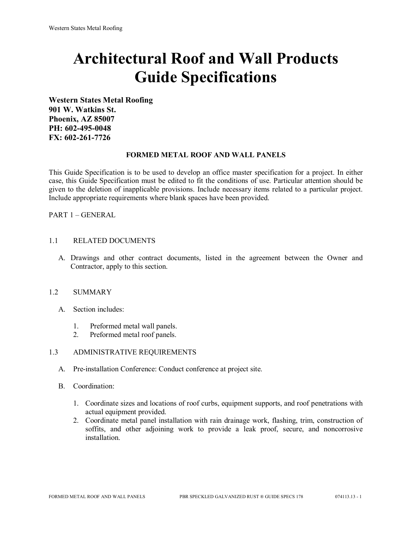# **Architectural Roof and Wall Products Guide Specifications**

**Western States Metal Roofing 901 W. Watkins St. Phoenix, AZ 85007 PH: 602-495-0048 FX: 602-261-7726**

## **FORMED METAL ROOF AND WALL PANELS**

This Guide Specification is to be used to develop an office master specification for a project. In either case, this Guide Specification must be edited to fit the conditions of use. Particular attention should be given to the deletion of inapplicable provisions. Include necessary items related to a particular project. Include appropriate requirements where blank spaces have been provided.

PART 1 – GENERAL

## 1.1 RELATED DOCUMENTS

A. Drawings and other contract documents, listed in the agreement between the Owner and Contractor, apply to this section.

#### 1.2 SUMMARY

- A. Section includes:
	- 1. Preformed metal wall panels.
	- 2. Preformed metal roof panels.

#### 1.3 ADMINISTRATIVE REQUIREMENTS

- A. Pre-installation Conference: Conduct conference at project site.
- B. Coordination:
	- 1. Coordinate sizes and locations of roof curbs, equipment supports, and roof penetrations with actual equipment provided.
	- 2. Coordinate metal panel installation with rain drainage work, flashing, trim, construction of soffits, and other adjoining work to provide a leak proof, secure, and noncorrosive installation.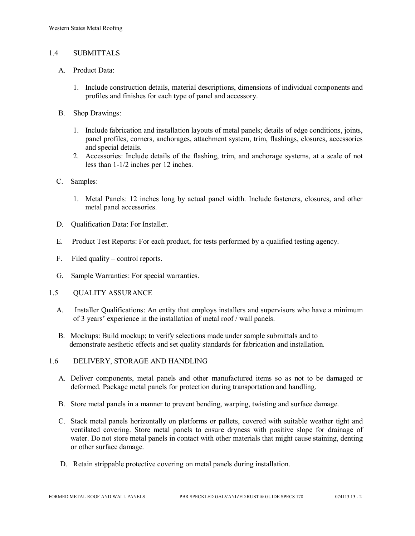## 1.4 SUBMITTALS

- A. Product Data:
	- 1. Include construction details, material descriptions, dimensions of individual components and profiles and finishes for each type of panel and accessory.
- B. Shop Drawings:
	- 1. Include fabrication and installation layouts of metal panels; details of edge conditions, joints, panel profiles, corners, anchorages, attachment system, trim, flashings, closures, accessories and special details.
	- 2. Accessories: Include details of the flashing, trim, and anchorage systems, at a scale of not less than 1-1/2 inches per 12 inches.
- C. Samples:
	- 1. Metal Panels: 12 inches long by actual panel width. Include fasteners, closures, and other metal panel accessories.
- D. Qualification Data: For Installer.
- E. Product Test Reports: For each product, for tests performed by a qualified testing agency.
- F. Filed quality control reports.
- G. Sample Warranties: For special warranties.
- 1.5 QUALITY ASSURANCE
	- A. Installer Qualifications: An entity that employs installers and supervisors who have a minimum of 3 years' experience in the installation of metal roof / wall panels.
	- B. Mockups: Build mockup; to verify selections made under sample submittals and to demonstrate aesthetic effects and set quality standards for fabrication and installation.
- 1.6 DELIVERY, STORAGE AND HANDLING
	- A. Deliver components, metal panels and other manufactured items so as not to be damaged or deformed. Package metal panels for protection during transportation and handling.
	- B. Store metal panels in a manner to prevent bending, warping, twisting and surface damage.
	- C. Stack metal panels horizontally on platforms or pallets, covered with suitable weather tight and ventilated covering. Store metal panels to ensure dryness with positive slope for drainage of water. Do not store metal panels in contact with other materials that might cause staining, denting or other surface damage.
	- D. Retain strippable protective covering on metal panels during installation.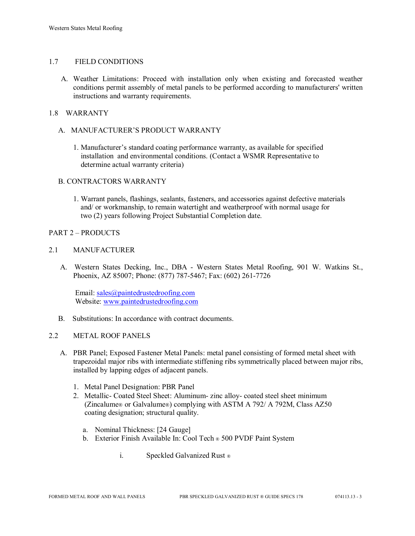# 1.7 FIELD CONDITIONS

A. Weather Limitations: Proceed with installation only when existing and forecasted weather conditions permit assembly of metal panels to be performed according to manufacturers' written instructions and warranty requirements.

# 1.8 WARRANTY

# A. MANUFACTURER'S PRODUCT WARRANTY

1. Manufacturer's standard coating performance warranty, as available for specified installation and environmental conditions. (Contact a WSMR Representative to determine actual warranty criteria)

## B. CONTRACTORS WARRANTY

1. Warrant panels, flashings, sealants, fasteners, and accessories against defective materials and/ or workmanship, to remain watertight and weatherproof with normal usage for two (2) years following Project Substantial Completion date.

## PART 2 – PRODUCTS

## 2.1 MANUFACTURER

 A. Western States Decking, Inc., DBA - Western States Metal Roofing, 901 W. Watkins St., Phoenix, AZ 85007; Phone: (877) 787-5467; Fax: (602) 261-7726

Email: [sales@paintedrustedroofing.com](mailto:sales@paintedrustedroofing.com) Website: [www.paintedrustedroofing.com](http://www.paintedrustedroofing.com/)

B. Substitutions: In accordance with contract documents.

# 2.2 METAL ROOF PANELS

- A. PBR Panel; Exposed Fastener Metal Panels: metal panel consisting of formed metal sheet with trapezoidal major ribs with intermediate stiffening ribs symmetrically placed between major ribs, installed by lapping edges of adjacent panels.
	- 1. Metal Panel Designation: PBR Panel
	- 2. Metallic- Coated Steel Sheet: Aluminum- zinc alloy- coated steel sheet minimum (Zincalume® or Galvalume®) complying with ASTM A 792/ A 792M, Class AZ50 coating designation; structural quality.
		- a. Nominal Thickness: [24 Gauge]
		- b. Exterior Finish Available In: Cool Tech ® 500 PVDF Paint System
			- i. Speckled Galvanized Rust ®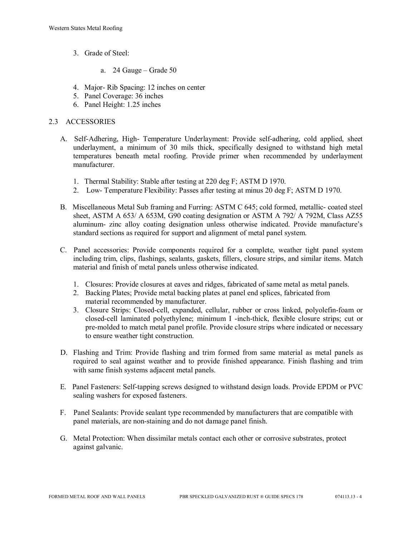- 3. Grade of Steel:
	- a. 24 Gauge Grade 50
- 4. Major- Rib Spacing: 12 inches on center
- 5. Panel Coverage: 36 inches
- 6. Panel Height: 1.25 inches

## 2.3 ACCESSORIES

- A. Self-Adhering, High- Temperature Underlayment: Provide self-adhering, cold applied, sheet underlayment, a minimum of 30 mils thick, specifically designed to withstand high metal temperatures beneath metal roofing. Provide primer when recommended by underlayment manufacturer.
	- 1. Thermal Stability: Stable after testing at 220 deg F; ASTM D 1970.
	- 2. Low- Temperature Flexibility: Passes after testing at minus 20 deg F; ASTM D 1970.
- B. Miscellaneous Metal Sub framing and Furring: ASTM C 645; cold formed, metallic- coated steel sheet, ASTM A 653/ A 653M, G90 coating designation or ASTM A 792/ A 792M, Class AZ55 aluminum- zinc alloy coating designation unless otherwise indicated. Provide manufacture's standard sections as required for support and alignment of metal panel system.
- C. Panel accessories: Provide components required for a complete, weather tight panel system including trim, clips, flashings, sealants, gaskets, fillers, closure strips, and similar items. Match material and finish of metal panels unless otherwise indicated.
	- 1. Closures: Provide closures at eaves and ridges, fabricated of same metal as metal panels.
	- 2. Backing Plates; Provide metal backing plates at panel end splices, fabricated from material recommended by manufacturer.
	- 3. Closure Strips: Closed-cell, expanded, cellular, rubber or cross linked, polyolefin-foam or closed-cell laminated polyethylene; minimum I -inch-thick, flexible closure strips; cut or pre-molded to match metal panel profile. Provide closure strips where indicated or necessary to ensure weather tight construction.
- D. Flashing and Trim: Provide flashing and trim formed from same material as metal panels as required to seal against weather and to provide finished appearance. Finish flashing and trim with same finish systems adjacent metal panels.
- E. Panel Fasteners: Self-tapping screws designed to withstand design loads. Provide EPDM or PVC sealing washers for exposed fasteners.
- F. Panel Sealants: Provide sealant type recommended by manufacturers that are compatible with panel materials, are non-staining and do not damage panel finish.
- G. Metal Protection: When dissimilar metals contact each other or corrosive substrates, protect against galvanic.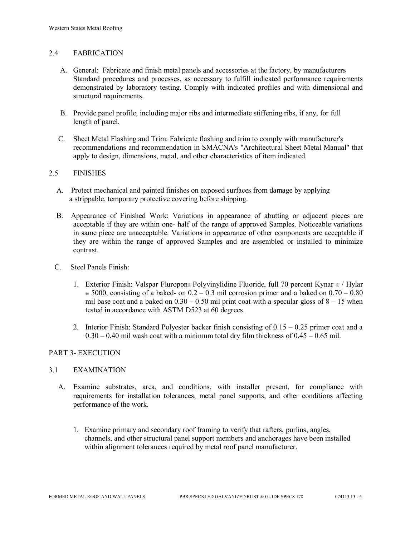## 2.4 FABRICATION

- A. General: Fabricate and finish metal panels and accessories at the factory, by manufacturers Standard procedures and processes, as necessary to fulfill indicated performance requirements demonstrated by laboratory testing. Comply with indicated profiles and with dimensional and structural requirements.
- B. Provide panel profile, including major ribs and intermediate stiffening ribs, if any, for full length of panel.
- C. Sheet Metal Flashing and Trim: Fabricate flashing and trim to comply with manufacturer's recommendations and recommendation in SMACNA's "Architectural Sheet Metal Manual" that apply to design, dimensions, metal, and other characteristics of item indicated.

## 2.5 FINISHES

- A. Protect mechanical and painted finishes on exposed surfaces from damage by applying a strippable, temporary protective covering before shipping.
- B. Appearance of Finished Work: Variations in appearance of abutting or adjacent pieces are acceptable if they are within one- half of the range of approved Samples. Noticeable variations in same piece are unacceptable. Variations in appearance of other components are acceptable if they are within the range of approved Samples and are assembled or installed to minimize contrast.
- C. Steel Panels Finish:
	- 1. Exterior Finish: Valspar Fluropon® Polyvinylidine Fluoride, full 70 percent Kynar ® / Hylar  $\infty$  5000, consisting of a baked- on 0.2 – 0.3 mil corrosion primer and a baked on 0.70 – 0.80 mil base coat and a baked on  $0.30 - 0.50$  mil print coat with a specular gloss of  $8 - 15$  when tested in accordance with ASTM D523 at 60 degrees.
	- 2. Interior Finish: Standard Polyester backer finish consisting of  $0.15 0.25$  primer coat and a  $0.30 - 0.40$  mil wash coat with a minimum total dry film thickness of  $0.45 - 0.65$  mil.

#### PART 3- EXECUTION

#### 3.1 EXAMINATION

- A. Examine substrates, area, and conditions, with installer present, for compliance with requirements for installation tolerances, metal panel supports, and other conditions affecting performance of the work.
	- 1. Examine primary and secondary roof framing to verify that rafters, purlins, angles, channels, and other structural panel support members and anchorages have been installed within alignment tolerances required by metal roof panel manufacturer.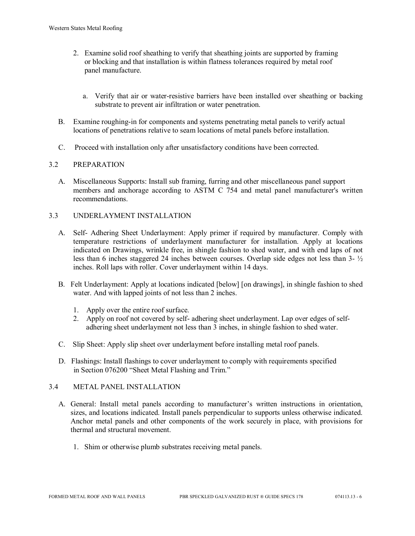- 2. Examine solid roof sheathing to verify that sheathing joints are supported by framing or blocking and that installation is within flatness tolerances required by metal roof panel manufacture.
	- a. Verify that air or water-resistive barriers have been installed over sheathing or backing substrate to prevent air infiltration or water penetration.
- B. Examine roughing-in for components and systems penetrating metal panels to verify actual locations of penetrations relative to seam locations of metal panels before installation.
- C. Proceed with installation only after unsatisfactory conditions have been corrected.

## 3.2 PREPARATION

- A. Miscellaneous Supports: Install sub framing, furring and other miscellaneous panel support members and anchorage according to ASTM C 754 and metal panel manufacturer's written recommendations.
- 3.3 UNDERLAYMENT INSTALLATION
	- A. Self- Adhering Sheet Underlayment: Apply primer if required by manufacturer. Comply with temperature restrictions of underlayment manufacturer for installation. Apply at locations indicated on Drawings, wrinkle free, in shingle fashion to shed water, and with end laps of not less than 6 inches staggered 24 inches between courses. Overlap side edges not less than 3- ½ inches. Roll laps with roller. Cover underlayment within 14 days.
	- B. Felt Underlayment: Apply at locations indicated [below] [on drawings], in shingle fashion to shed water. And with lapped joints of not less than 2 inches.
		- 1. Apply over the entire roof surface.
		- 2. Apply on roof not covered by self- adhering sheet underlayment. Lap over edges of self adhering sheet underlayment not less than 3 inches, in shingle fashion to shed water.
	- C. Slip Sheet: Apply slip sheet over underlayment before installing metal roof panels.
	- D. Flashings: Install flashings to cover underlayment to comply with requirements specified in Section 076200 "Sheet Metal Flashing and Trim."

## 3.4 METAL PANEL INSTALLATION

- A. General: Install metal panels according to manufacturer's written instructions in orientation, sizes, and locations indicated. Install panels perpendicular to supports unless otherwise indicated. Anchor metal panels and other components of the work securely in place, with provisions for thermal and structural movement.
	- 1. Shim or otherwise plumb substrates receiving metal panels.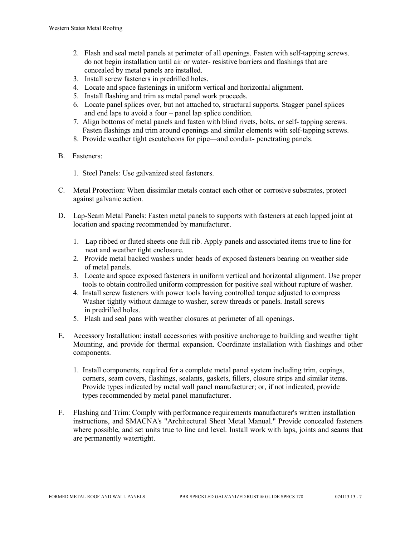- 2. Flash and seal metal panels at perimeter of all openings. Fasten with self-tapping screws. do not begin installation until air or water- resistive barriers and flashings that are concealed by metal panels are installed.
- 3. Install screw fasteners in predrilled holes.
- 4. Locate and space fastenings in uniform vertical and horizontal alignment.
- 5. Install flashing and trim as metal panel work proceeds.
- 6. Locate panel splices over, but not attached to, structural supports. Stagger panel splices and end laps to avoid a four – panel lap splice condition.
- 7. Align bottoms of metal panels and fasten with blind rivets, bolts, or self- tapping screws. Fasten flashings and trim around openings and similar elements with self-tapping screws.
- 8. Provide weather tight escutcheons for pipe—and conduit- penetrating panels.
- B. Fasteners:
	- 1. Steel Panels: Use galvanized steel fasteners.
- C. Metal Protection: When dissimilar metals contact each other or corrosive substrates, protect against galvanic action.
- D. Lap-Seam Metal Panels: Fasten metal panels to supports with fasteners at each lapped joint at location and spacing recommended by manufacturer.
	- 1. Lap ribbed or fluted sheets one full rib. Apply panels and associated items true to line for neat and weather tight enclosure.
	- 2. Provide metal backed washers under heads of exposed fasteners bearing on weather side of metal panels.
	- 3. Locate and space exposed fasteners in uniform vertical and horizontal alignment. Use proper tools to obtain controlled uniform compression for positive seal without rupture of washer.
	- 4. Install screw fasteners with power tools having controlled torque adjusted to compress Washer tightly without damage to washer, screw threads or panels. Install screws in predrilled holes.
	- 5. Flash and seal pans with weather closures at perimeter of all openings.
- E. Accessory Installation: install accessories with positive anchorage to building and weather tight Mounting, and provide for thermal expansion. Coordinate installation with flashings and other components.
	- 1. Install components, required for a complete metal panel system including trim, copings, corners, seam covers, flashings, sealants, gaskets, fillers, closure strips and similar items. Provide types indicated by metal wall panel manufacturer; or, if not indicated, provide types recommended by metal panel manufacturer.
- F. Flashing and Trim: Comply with performance requirements manufacturer's written installation instructions, and SMACNA's "Architectural Sheet Metal Manual." Provide concealed fasteners where possible, and set units true to line and level. Install work with laps, joints and seams that are permanently watertight.